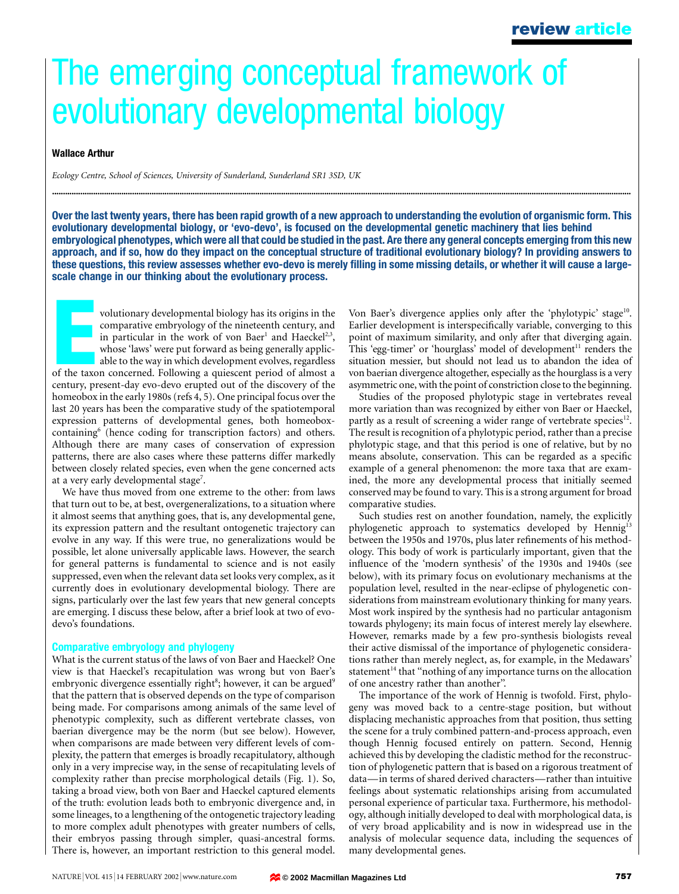# The emerging conceptual framework of evolutionary developmental biology

#### Wallace Arthur

Ecology Centre, School of Sciences, University of Sunderland, Sunderland SR1 3SD, UK

Over the last twenty years, there has been rapid growth of a new approach to understanding the evolution of organismic form. This evolutionary developmental biology, or `evo-devo', is focused on the developmental genetic machinery that lies behind embryological phenotypes, which were all that could be studied in the past. Are there any general concepts emerging from this new approach, and if so, how do they impact on the conceptual structure of traditional evolutionary biology? In providing answers to these questions, this review assesses whether evo-devo is merely filling in some missing details, or whether it will cause a largescale change in our thinking about the evolutionary process.

............................................................................................................................................................................................................................................................................

volutionary developmental biology has its origins in the comparative embryology of the nineteenth century, and in particular in the work of von Baer<sup>1</sup> and Haeckel<sup>2,3</sup>, whose 'laws' were put forward as being generally app comparative embryology of the nineteenth century, and in particular in the work of von Baer<sup>1</sup> and Haeckel<sup>2,3</sup>, whose 'laws' were put forward as being generally applicable to the way in which development evolves, regardless century, present-day evo-devo erupted out of the discovery of the homeobox in the early 1980s (refs 4, 5). One principal focus over the last 20 years has been the comparative study of the spatiotemporal expression patterns of developmental genes, both homeoboxcontaining<sup>6</sup> (hence coding for transcription factors) and others. Although there are many cases of conservation of expression patterns, there are also cases where these patterns differ markedly between closely related species, even when the gene concerned acts at a very early developmental stage<sup>7</sup>.

We have thus moved from one extreme to the other: from laws that turn out to be, at best, overgeneralizations, to a situation where it almost seems that anything goes, that is, any developmental gene, its expression pattern and the resultant ontogenetic trajectory can evolve in any way. If this were true, no generalizations would be possible, let alone universally applicable laws. However, the search for general patterns is fundamental to science and is not easily suppressed, even when the relevant data set looks very complex, as it currently does in evolutionary developmental biology. There are signs, particularly over the last few years that new general concepts are emerging. I discuss these below, after a brief look at two of evodevo's foundations.

#### Comparative embryology and phylogeny

What is the current status of the laws of von Baer and Haeckel? One view is that Haeckel's recapitulation was wrong but von Baer's embryonic divergence essentially right<sup>8</sup>; however, it can be argued<sup>9</sup> that the pattern that is observed depends on the type of comparison being made. For comparisons among animals of the same level of phenotypic complexity, such as different vertebrate classes, von baerian divergence may be the norm (but see below). However, when comparisons are made between very different levels of complexity, the pattern that emerges is broadly recapitulatory, although only in a very imprecise way, in the sense of recapitulating levels of complexity rather than precise morphological details (Fig. 1). So, taking a broad view, both von Baer and Haeckel captured elements of the truth: evolution leads both to embryonic divergence and, in some lineages, to a lengthening of the ontogenetic trajectory leading to more complex adult phenotypes with greater numbers of cells, their embryos passing through simpler, quasi-ancestral forms. There is, however, an important restriction to this general model.

Von Baer's divergence applies only after the 'phylotypic' stage<sup>10</sup>. Earlier development is interspecifically variable, converging to this point of maximum similarity, and only after that diverging again. This 'egg-timer' or 'hourglass' model of development $11$  renders the situation messier, but should not lead us to abandon the idea of von baerian divergence altogether, especially as the hourglass is a very asymmetric one, with the point of constriction close to the beginning.

Studies of the proposed phylotypic stage in vertebrates reveal more variation than was recognized by either von Baer or Haeckel, partly as a result of screening a wider range of vertebrate species $12$ . The result is recognition of a phylotypic period, rather than a precise phylotypic stage, and that this period is one of relative, but by no means absolute, conservation. This can be regarded as a specific example of a general phenomenon: the more taxa that are examined, the more any developmental process that initially seemed conserved may be found to vary. This is a strong argument for broad comparative studies.

Such studies rest on another foundation, namely, the explicitly phylogenetic approach to systematics developed by Hennig<sup>13</sup> between the 1950s and 1970s, plus later refinements of his methodology. This body of work is particularly important, given that the influence of the 'modern synthesis' of the 1930s and 1940s (see below), with its primary focus on evolutionary mechanisms at the population level, resulted in the near-eclipse of phylogenetic considerations from mainstream evolutionary thinking for many years. Most work inspired by the synthesis had no particular antagonism towards phylogeny; its main focus of interest merely lay elsewhere. However, remarks made by a few pro-synthesis biologists reveal their active dismissal of the importance of phylogenetic considerations rather than merely neglect, as, for example, in the Medawars' statement<sup>14</sup> that "nothing of any importance turns on the allocation of one ancestry rather than another''.

The importance of the work of Hennig is twofold. First, phylogeny was moved back to a centre-stage position, but without displacing mechanistic approaches from that position, thus setting the scene for a truly combined pattern-and-process approach, even though Hennig focused entirely on pattern. Second, Hennig achieved this by developing the cladistic method for the reconstruction of phylogenetic pattern that is based on a rigorous treatment of data—in terms of shared derived characters—rather than intuitive feelings about systematic relationships arising from accumulated personal experience of particular taxa. Furthermore, his methodology, although initially developed to deal with morphological data, is of very broad applicability and is now in widespread use in the analysis of molecular sequence data, including the sequences of many developmental genes.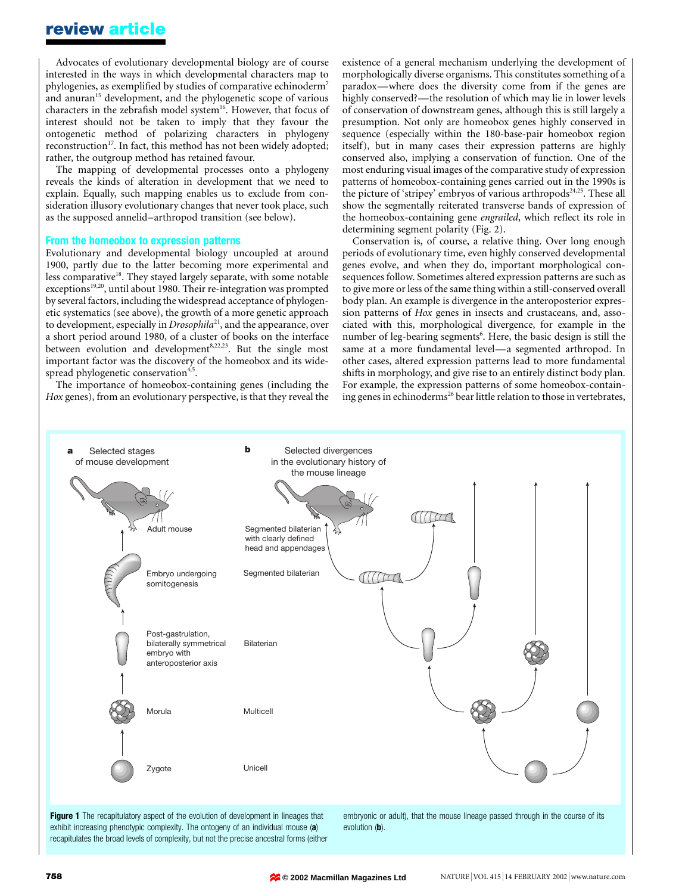Advocates of evolutionary developmental biology are of course interested in the ways in which developmental characters map to phylogenies, as exemplified by studies of comparative echinoderm<sup>7</sup> and anuran<sup>15</sup> development, and the phylogenetic scope of various characters in the zebrafish model system<sup>16</sup>. However, that focus of interest should not be taken to imply that they favour the ontogenetic method of polarizing characters in phylogeny reconstruction<sup>17</sup>. In fact, this method has not been widely adopted; rather, the outgroup method has retained favour.

The mapping of developmental processes onto a phylogeny reveals the kinds of alteration in development that we need to explain. Equally, such mapping enables us to exclude from consideration illusory evolutionary changes that never took place, such as the supposed annelid-arthropod transition (see below).

#### From the homeobox to expression patterns

Evolutionary and developmental biology uncoupled at around 1900, partly due to the latter becoming more experimental and less comparative<sup>18</sup>. They stayed largely separate, with some notable exceptions<sup>19,20</sup>, until about 1980. Their re-integration was prompted by several factors, including the widespread acceptance of phylogenetic systematics (see above), the growth of a more genetic approach to development, especially in  $Drosophila<sup>21</sup>$ , and the appearance, over a short period around 1980, of a cluster of books on the interface between evolution and development<sup>8,22,23</sup>. But the single most important factor was the discovery of the homeobox and its widespread phylogenetic conservation<sup>4,5</sup>.

The importance of homeobox-containing genes (including the Hox genes), from an evolutionary perspective, is that they reveal the existence of a general mechanism underlying the development of morphologically diverse organisms. This constitutes something of a paradox—where does the diversity come from if the genes are highly conserved?—the resolution of which may lie in lower levels of conservation of downstream genes, although this is still largely a presumption. Not only are homeobox genes highly conserved in sequence (especially within the 180-base-pair homeobox region itself), but in many cases their expression patterns are highly conserved also, implying a conservation of function. One of the most enduring visual images of the comparative study of expression patterns of homeobox-containing genes carried out in the 1990s is the picture of 'stripey' embryos of various arthropods<sup>24,25</sup>. These all show the segmentally reiterated transverse bands of expression of the homeobox-containing gene engrailed, which reflect its role in determining segment polarity (Fig. 2).

Conservation is, of course, a relative thing. Over long enough periods of evolutionary time, even highly conserved developmental genes evolve, and when they do, important morphological consequences follow. Sometimes altered expression patterns are such as to give more or less of the same thing within a still-conserved overall body plan. An example is divergence in the anteroposterior expression patterns of Hox genes in insects and crustaceans, and, associated with this, morphological divergence, for example in the number of leg-bearing segments<sup>6</sup>. Here, the basic design is still the same at a more fundamental level—a segmented arthropod. In other cases, altered expression patterns lead to more fundamental shifts in morphology, and give rise to an entirely distinct body plan. For example, the expression patterns of some homeobox-containing genes in echinoderms<sup>26</sup> bear little relation to those in vertebrates,



recapitulates the broad levels of complexity, but not the precise ancestral forms (either

evolution (b)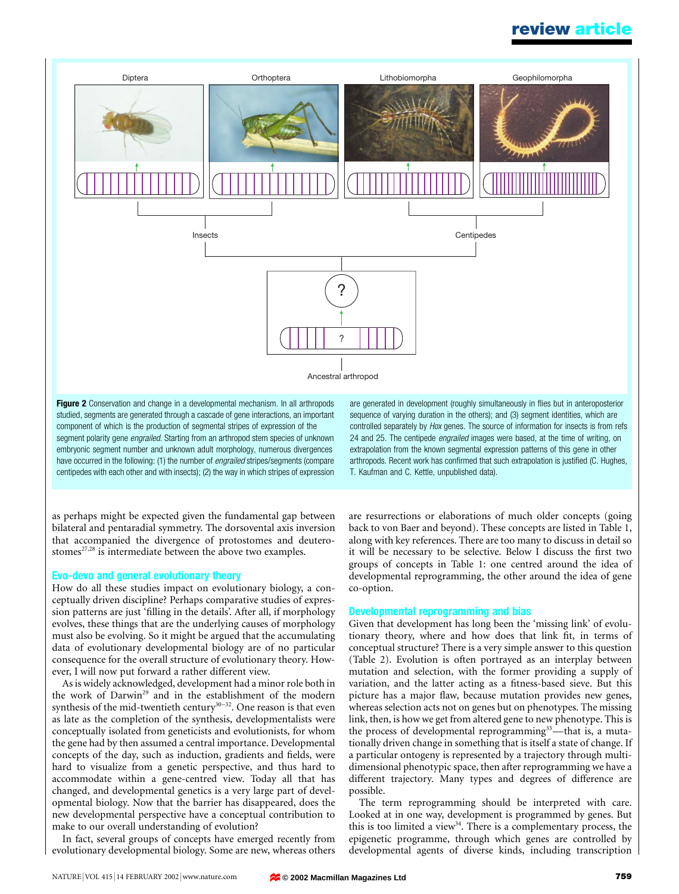

Figure 2 Conservation and change in a developmental mechanism. In all arthropods studied, segments are generated through a cascade of gene interactions, an important component of which is the production of segmental stripes of expression of the segment polarity gene *engrailed*. Starting from an arthropod stem species of unknown embryonic segment number and unknown adult morphology, numerous divergences have occurred in the following: (1) the number of engrailed stripes/segments (compare centipedes with each other and with insects); (2) the way in which stripes of expression are generated in development (roughly simultaneously in flies but in anteroposterior sequence of varying duration in the others); and (3) segment identities, which are controlled separately by Hox genes. The source of information for insects is from refs 24 and 25. The centipede *engrailed* images were based, at the time of writing, on extrapolation from the known segmental expression patterns of this gene in other arthropods. Recent work has confirmed that such extrapolation is justified (C. Hughes, T. Kaufman and C. Kettle, unpublished data).

as perhaps might be expected given the fundamental gap between bilateral and pentaradial symmetry. The dorsovental axis inversion that accompanied the divergence of protostomes and deuterostomes<sup>27,28</sup> is intermediate between the above two examples.

#### Evo-devo and general evolutionary theory

How do all these studies impact on evolutionary biology, a conceptually driven discipline? Perhaps comparative studies of expression patterns are just 'filling in the details'. After all, if morphology evolves, these things that are the underlying causes of morphology must also be evolving. So it might be argued that the accumulating data of evolutionary developmental biology are of no particular consequence for the overall structure of evolutionary theory. However, I will now put forward a rather different view.

As is widely acknowledged, development had a minor role both in the work of Darwin<sup>29</sup> and in the establishment of the modern synthesis of the mid-twentieth century<sup>30-32</sup>. One reason is that even as late as the completion of the synthesis, developmentalists were conceptually isolated from geneticists and evolutionists, for whom the gene had by then assumed a central importance. Developmental concepts of the day, such as induction, gradients and fields, were hard to visualize from a genetic perspective, and thus hard to accommodate within a gene-centred view. Today all that has changed, and developmental genetics is a very large part of developmental biology. Now that the barrier has disappeared, does the new developmental perspective have a conceptual contribution to make to our overall understanding of evolution?

In fact, several groups of concepts have emerged recently from evolutionary developmental biology. Some are new, whereas others are resurrections or elaborations of much older concepts (going back to von Baer and beyond). These concepts are listed in Table 1, along with key references. There are too many to discuss in detail so it will be necessary to be selective. Below I discuss the first two groups of concepts in Table 1: one centred around the idea of developmental reprogramming, the other around the idea of gene co-option.

#### Developmental reprogramming and bias

Given that development has long been the `missing link' of evolutionary theory, where and how does that link fit, in terms of conceptual structure? There is a very simple answer to this question (Table 2). Evolution is often portrayed as an interplay between mutation and selection, with the former providing a supply of variation, and the latter acting as a fitness-based sieve. But this picture has a major flaw, because mutation provides new genes, whereas selection acts not on genes but on phenotypes. The missing link, then, is how we get from altered gene to new phenotype. This is the process of developmental reprogramming<sup>33</sup>—that is, a mutationally driven change in something that is itself a state of change. If a particular ontogeny is represented by a trajectory through multidimensional phenotypic space, then after reprogramming we have a different trajectory. Many types and degrees of difference are possible.

The term reprogramming should be interpreted with care. Looked at in one way, development is programmed by genes. But this is too limited a view<sup>34</sup>. There is a complementary process, the epigenetic programme, through which genes are controlled by developmental agents of diverse kinds, including transcription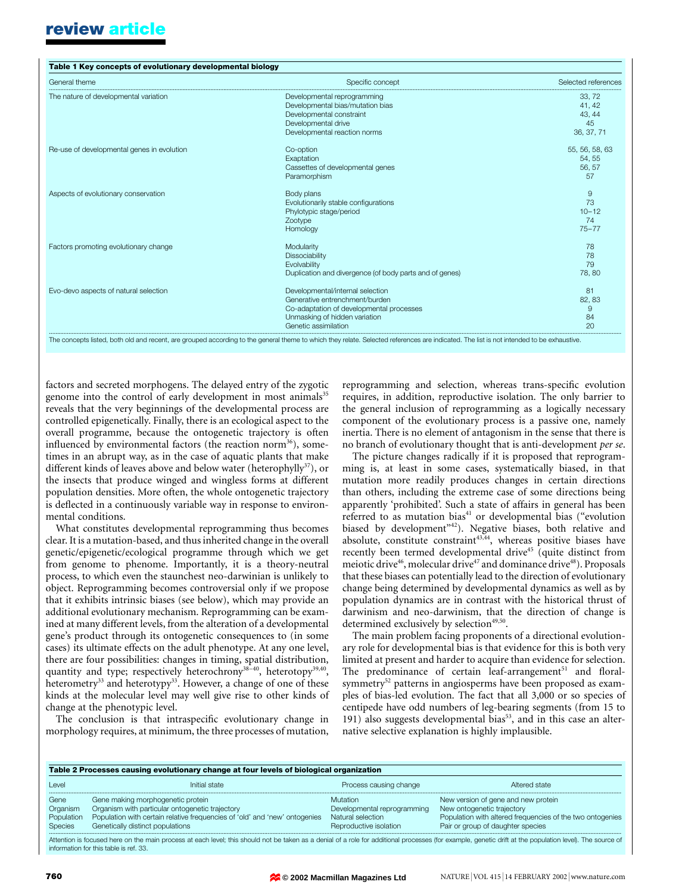| General theme                              | Specific concept                                        | Selected references |
|--------------------------------------------|---------------------------------------------------------|---------------------|
| The nature of developmental variation      | Developmental reprogramming                             | 33, 72              |
|                                            | Developmental bias/mutation bias                        | 41, 42              |
|                                            | Developmental constraint                                | 43, 44              |
|                                            | Developmental drive                                     | 45                  |
|                                            | Developmental reaction norms                            | 36, 37, 71          |
| Re-use of developmental genes in evolution | Co-option                                               | 55, 56, 58, 63      |
|                                            | Exaptation                                              | 54, 55              |
|                                            | Cassettes of developmental genes                        | 56, 57              |
|                                            | Paramorphism                                            | 57                  |
| Aspects of evolutionary conservation       | Body plans                                              | $\overline{9}$      |
|                                            | Evolutionarily stable configurations                    | 73                  |
|                                            | Phylotypic stage/period                                 | $10 - 12$           |
|                                            | Zootype                                                 | 74                  |
|                                            | Homology                                                | $75 - 77$           |
| Factors promoting evolutionary change      | Modularity                                              | 78                  |
|                                            | <b>Dissociability</b>                                   | 78                  |
|                                            | Evolvability                                            | 79                  |
|                                            | Duplication and divergence (of body parts and of genes) | 78,80               |
| Evo-devo aspects of natural selection      | Developmental/internal selection                        | 81                  |
|                                            | Generative entrenchment/burden                          | 82, 83              |
|                                            | Co-adaptation of developmental processes                | 9                   |
|                                            | Unmasking of hidden variation                           | 84                  |
|                                            | Genetic assimilation                                    | 20                  |

factors and secreted morphogens. The delayed entry of the zygotic genome into the control of early development in most animals<sup>35</sup> reveals that the very beginnings of the developmental process are controlled epigenetically. Finally, there is an ecological aspect to the overall programme, because the ontogenetic trajectory is often influenced by environmental factors (the reaction norm $^{36}$ ), sometimes in an abrupt way, as in the case of aquatic plants that make different kinds of leaves above and below water (heterophylly<sup>37</sup>), or the insects that produce winged and wingless forms at different population densities. More often, the whole ontogenetic trajectory is deflected in a continuously variable way in response to environmental conditions.

What constitutes developmental reprogramming thus becomes clear. It is a mutation-based, and thus inherited change in the overall genetic/epigenetic/ecological programme through which we get from genome to phenome. Importantly, it is a theory-neutral process, to which even the staunchest neo-darwinian is unlikely to object. Reprogramming becomes controversial only if we propose that it exhibits intrinsic biases (see below), which may provide an additional evolutionary mechanism. Reprogramming can be examined at many different levels, from the alteration of a developmental gene's product through its ontogenetic consequences to (in some cases) its ultimate effects on the adult phenotype. At any one level, there are four possibilities: changes in timing, spatial distribution, quantity and type; respectively heterochrony<sup>38-40</sup>, heterotopy<sup>39,40</sup>, heterometry<sup>33</sup> and heterotypy<sup>33</sup>. However, a change of one of these kinds at the molecular level may well give rise to other kinds of change at the phenotypic level.

The conclusion is that intraspecific evolutionary change in morphology requires, at minimum, the three processes of mutation, reprogramming and selection, whereas trans-specific evolution requires, in addition, reproductive isolation. The only barrier to the general inclusion of reprogramming as a logically necessary component of the evolutionary process is a passive one, namely inertia. There is no element of antagonism in the sense that there is no branch of evolutionary thought that is anti-development per se.

The picture changes radically if it is proposed that reprogramming is, at least in some cases, systematically biased, in that mutation more readily produces changes in certain directions than others, including the extreme case of some directions being apparently 'prohibited'. Such a state of affairs in general has been referred to as mutation bias<sup>41</sup> or developmental bias ("evolution biased by development"<sup>42</sup>). Negative biases, both relative and absolute, constitute constraint $43,44$ , whereas positive biases have recently been termed developmental drive<sup>45</sup> (quite distinct from meiotic drive<sup>46</sup>, molecular drive<sup>47</sup> and dominance drive<sup>48</sup>). Proposals that these biases can potentially lead to the direction of evolutionary change being determined by developmental dynamics as well as by population dynamics are in contrast with the historical thrust of darwinism and neo-darwinism, that the direction of change is determined exclusively by selection<sup>49,50</sup>.

The main problem facing proponents of a directional evolutionary role for developmental bias is that evidence for this is both very limited at present and harder to acquire than evidence for selection. The predominance of certain leaf-arrangement<sup>51</sup> and floralsymmetry<sup>52</sup> patterns in angiosperms have been proposed as examples of bias-led evolution. The fact that all 3,000 or so species of centipede have odd numbers of leg-bearing segments (from 15 to 191) also suggests developmental bias<sup>53</sup>, and in this case an alternative selective explanation is highly implausible.

| Level          | Initial state                                                              | Process causing change      | Altered state                                             |
|----------------|----------------------------------------------------------------------------|-----------------------------|-----------------------------------------------------------|
| Gene           | Gene making morphogenetic protein                                          | Mutation                    | New version of gene and new protein                       |
| Organism       | Organism with particular ontogenetic trajectory                            | Developmental reprogramming | New ontogenetic trajectory                                |
| Population     | Population with certain relative frequencies of 'old' and 'new' ontogenies | Natural selection           | Population with altered frequencies of the two ontogenies |
| <b>Species</b> | Genetically distinct populations                                           | Reproductive isolation      | Pair or group of daughter species                         |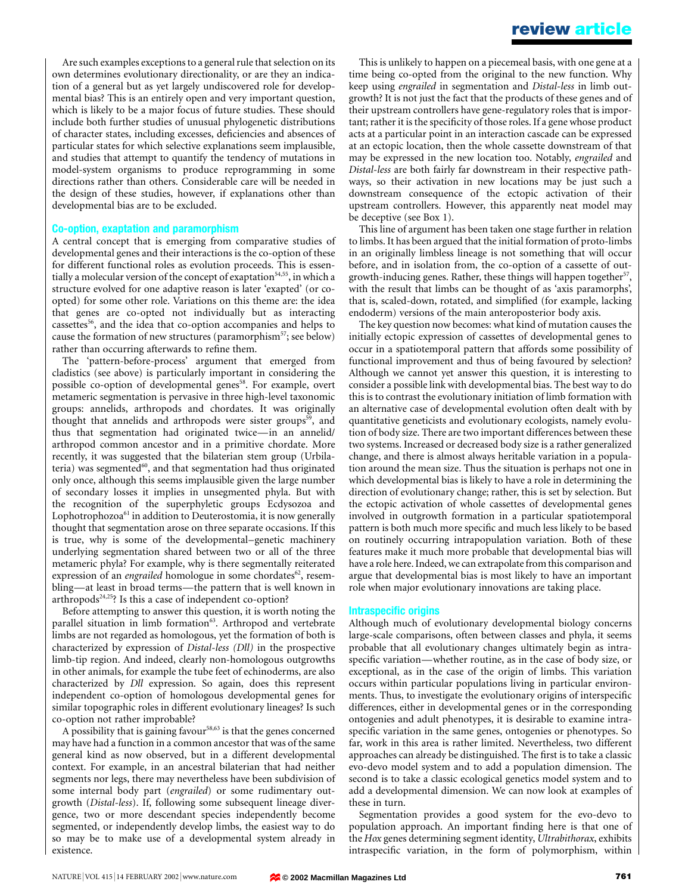Are such examples exceptions to a general rule that selection on its own determines evolutionary directionality, or are they an indication of a general but as yet largely undiscovered role for developmental bias? This is an entirely open and very important question, which is likely to be a major focus of future studies. These should include both further studies of unusual phylogenetic distributions of character states, including excesses, deficiencies and absences of particular states for which selective explanations seem implausible, and studies that attempt to quantify the tendency of mutations in model-system organisms to produce reprogramming in some directions rather than others. Considerable care will be needed in the design of these studies, however, if explanations other than developmental bias are to be excluded.

#### Co-option, exaptation and paramorphism

A central concept that is emerging from comparative studies of developmental genes and their interactions is the co-option of these for different functional roles as evolution proceeds. This is essentially a molecular version of the concept of exaptation<sup>54,55</sup>, in which a structure evolved for one adaptive reason is later `exapted' (or coopted) for some other role. Variations on this theme are: the idea that genes are co-opted not individually but as interacting cassettes<sup>56</sup>, and the idea that co-option accompanies and helps to cause the formation of new structures (paramorphism $57$ ; see below) rather than occurring afterwards to refine them.

The `pattern-before-process' argument that emerged from cladistics (see above) is particularly important in considering the possible co-option of developmental genes<sup>58</sup>. For example, overt metameric segmentation is pervasive in three high-level taxonomic groups: annelids, arthropods and chordates. It was originally thought that annelids and arthropods were sister groups<sup>59</sup>, and thus that segmentation had originated twice-in an annelid/ arthropod common ancestor and in a primitive chordate. More recently, it was suggested that the bilaterian stem group (Urbilateria) was segmented<sup>60</sup>, and that segmentation had thus originated only once, although this seems implausible given the large number of secondary losses it implies in unsegmented phyla. But with the recognition of the superphyletic groups Ecdysozoa and Lophotrophozoa<sup>61</sup> in addition to Deuterostomia, it is now generally thought that segmentation arose on three separate occasions. If this is true, why is some of the developmental–genetic machinery underlying segmentation shared between two or all of the three metameric phyla? For example, why is there segmentally reiterated expression of an *engrailed* homologue in some chordates<sup>62</sup>, resembling—at least in broad terms—the pattern that is well known in arthropods $24,25$ ? Is this a case of independent co-option?

Before attempting to answer this question, it is worth noting the parallel situation in limb formation<sup>63</sup>. Arthropod and vertebrate limbs are not regarded as homologous, yet the formation of both is characterized by expression of Distal-less (Dll) in the prospective limb-tip region. And indeed, clearly non-homologous outgrowths in other animals, for example the tube feet of echinoderms, are also characterized by Dll expression. So again, does this represent independent co-option of homologous developmental genes for similar topographic roles in different evolutionary lineages? Is such co-option not rather improbable?

A possibility that is gaining favour $58,63$  is that the genes concerned may have had a function in a common ancestor that was of the same general kind as now observed, but in a different developmental context. For example, in an ancestral bilaterian that had neither segments nor legs, there may nevertheless have been subdivision of some internal body part (engrailed) or some rudimentary outgrowth (Distal-less). If, following some subsequent lineage divergence, two or more descendant species independently become segmented, or independently develop limbs, the easiest way to do so may be to make use of a developmental system already in existence.

This is unlikely to happen on a piecemeal basis, with one gene at a time being co-opted from the original to the new function. Why keep using engrailed in segmentation and Distal-less in limb outgrowth? It is not just the fact that the products of these genes and of their upstream controllers have gene-regulatory roles that is important; rather it is the specificity of those roles. If a gene whose product acts at a particular point in an interaction cascade can be expressed at an ectopic location, then the whole cassette downstream of that may be expressed in the new location too. Notably, engrailed and Distal-less are both fairly far downstream in their respective pathways, so their activation in new locations may be just such a downstream consequence of the ectopic activation of their upstream controllers. However, this apparently neat model may be deceptive (see Box 1).

This line of argument has been taken one stage further in relation to limbs. It has been argued that the initial formation of proto-limbs in an originally limbless lineage is not something that will occur before, and in isolation from, the co-option of a cassette of outgrowth-inducing genes. Rather, these things will happen together<sup>57</sup>, with the result that limbs can be thought of as 'axis paramorphs', that is, scaled-down, rotated, and simplified (for example, lacking endoderm) versions of the main anteroposterior body axis.

The key question now becomes: what kind of mutation causes the initially ectopic expression of cassettes of developmental genes to occur in a spatiotemporal pattern that affords some possibility of functional improvement and thus of being favoured by selection? Although we cannot yet answer this question, it is interesting to consider a possible link with developmental bias. The best way to do this is to contrast the evolutionary initiation of limb formation with an alternative case of developmental evolution often dealt with by quantitative geneticists and evolutionary ecologists, namely evolution of body size. There are two important differences between these two systems. Increased or decreased body size is a rather generalized change, and there is almost always heritable variation in a population around the mean size. Thus the situation is perhaps not one in which developmental bias is likely to have a role in determining the direction of evolutionary change; rather, this is set by selection. But the ectopic activation of whole cassettes of developmental genes involved in outgrowth formation in a particular spatiotemporal pattern is both much more specific and much less likely to be based on routinely occurring intrapopulation variation. Both of these features make it much more probable that developmental bias will have a role here. Indeed, we can extrapolate from this comparison and argue that developmental bias is most likely to have an important role when major evolutionary innovations are taking place.

#### Intraspecific origins

Although much of evolutionary developmental biology concerns large-scale comparisons, often between classes and phyla, it seems probable that all evolutionary changes ultimately begin as intraspecific variation—whether routine, as in the case of body size, or exceptional, as in the case of the origin of limbs. This variation occurs within particular populations living in particular environments. Thus, to investigate the evolutionary origins of interspecific differences, either in developmental genes or in the corresponding ontogenies and adult phenotypes, it is desirable to examine intraspecific variation in the same genes, ontogenies or phenotypes. So far, work in this area is rather limited. Nevertheless, two different approaches can already be distinguished. The first is to take a classic evo-devo model system and to add a population dimension. The second is to take a classic ecological genetics model system and to add a developmental dimension. We can now look at examples of these in turn.

Segmentation provides a good system for the evo-devo to population approach. An important finding here is that one of the Hox genes determining segment identity, Ultrabithorax, exhibits intraspecific variation, in the form of polymorphism, within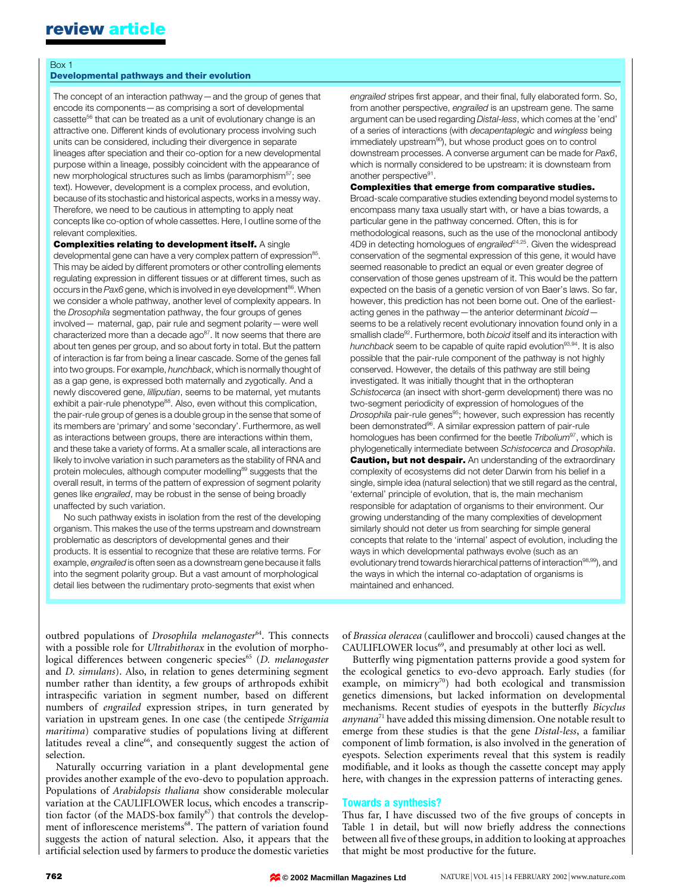#### Box 1

#### Developmental pathways and their evolution

The concept of an interaction pathway  $-\text{and}$  the group of genes that encode its components - as comprising a sort of developmental cassette<sup>56</sup> that can be treated as a unit of evolutionary change is an attractive one. Different kinds of evolutionary process involving such units can be considered, including their divergence in separate lineages after speciation and their co-option for a new developmental purpose within a lineage, possibly coincident with the appearance of new morphological structures such as limbs (paramorphism<sup>57</sup>; see text). However, development is a complex process, and evolution, because of its stochastic and historical aspects, works in a messy way. Therefore, we need to be cautious in attempting to apply neat concepts like co-option of whole cassettes. Here, I outline some of the relevant complexities.

Complexities relating to development itself. A single developmental gene can have a very complex pattern of expression<sup>85</sup>. This may be aided by different promoters or other controlling elements regulating expression in different tissues or at different times, such as occurs in the  $Pax6$  gene, which is involved in eye development<sup>86</sup>. When we consider a whole pathway, another level of complexity appears. In the Drosophila segmentation pathway, the four groups of genes  $involved$  maternal, gap, pair rule and segment polarity – were well characterized more than a decade ago<sup>87</sup>. It now seems that there are about ten genes per group, and so about forty in total. But the pattern of interaction is far from being a linear cascade. Some of the genes fall into two groups. For example, hunchback, which is normally thought of as a gap gene, is expressed both maternally and zygotically. And a newly discovered gene, lilliputian, seems to be maternal, yet mutants exhibit a pair-rule phenotype<sup>88</sup>. Also, even without this complication, the pair-rule group of genes is a double group in the sense that some of its members are 'primary' and some 'secondary'. Furthermore, as well as interactions between groups, there are interactions within them, and these take a variety of forms. At a smaller scale, all interactions are likely to involve variation in such parameters as the stability of RNA and protein molecules, although computer modelling<sup>89</sup> suggests that the overall result, in terms of the pattern of expression of segment polarity genes like engrailed, may be robust in the sense of being broadly unaffected by such variation.

No such pathway exists in isolation from the rest of the developing organism. This makes the use of the terms upstream and downstream problematic as descriptors of developmental genes and their products. It is essential to recognize that these are relative terms. For example, engrailed is often seen as a downstream gene because it falls into the segment polarity group. But a vast amount of morphological detail lies between the rudimentary proto-segments that exist when

engrailed stripes first appear, and their final, fully elaborated form. So, from another perspective, engrailed is an upstream gene. The same argument can be used regarding Distal-less, which comes at the 'end' of a series of interactions (with decapentaplegic and wingless being immediately upstream<sup>90</sup>), but whose product goes on to control downstream processes. A converse argument can be made for Pax6, which is normally considered to be upstream: it is downsteam from another perspective<sup>91</sup>.

#### Complexities that emerge from comparative studies.

Broad-scale comparative studies extending beyond model systems to encompass many taxa usually start with, or have a bias towards, a particular gene in the pathway concerned. Often, this is for methodological reasons, such as the use of the monoclonal antibody 4D9 in detecting homologues of engrailed<sup> $24,25$ </sup>. Given the widespread conservation of the segmental expression of this gene, it would have seemed reasonable to predict an equal or even greater degree of conservation of those genes upstream of it. This would be the pattern expected on the basis of a genetic version of von Baer's laws. So far, however, this prediction has not been borne out. One of the earliestacting genes in the pathway—the anterior determinant bicoid seems to be a relatively recent evolutionary innovation found only in a smallish clade<sup>92</sup>. Furthermore, both *bicoid* itself and its interaction with hunchback seem to be capable of quite rapid evolution $93,94$ . It is also possible that the pair-rule component of the pathway is not highly conserved. However, the details of this pathway are still being investigated. It was initially thought that in the orthopteran Schistocerca (an insect with short-germ development) there was no two-segment periodicity of expression of homologues of the Drosophila pair-rule genes<sup>95</sup>; however, such expression has recently been demonstrated<sup>96</sup>. A similar expression pattern of pair-rule homologues has been confirmed for the beetle  $Tribolium<sup>97</sup>$ , which is phylogenetically intermediate between Schistocerca and Drosophila. **Caution, but not despair.** An understanding of the extraordinary complexity of ecosystems did not deter Darwin from his belief in a single, simple idea (natural selection) that we still regard as the central, 'external' principle of evolution, that is, the main mechanism responsible for adaptation of organisms to their environment. Our growing understanding of the many complexities of development similarly should not deter us from searching for simple general concepts that relate to the 'internal' aspect of evolution, including the ways in which developmental pathways evolve (such as an evolutionary trend towards hierarchical patterns of interaction<sup>98,99</sup>), and the ways in which the internal co-adaptation of organisms is maintained and enhanced.

outbred populations of Drosophila melanogaster<sup>64</sup>. This connects with a possible role for Ultrabithorax in the evolution of morphological differences between congeneric species<sup>65</sup> (D. melanogaster and D. simulans). Also, in relation to genes determining segment number rather than identity, a few groups of arthropods exhibit intraspecific variation in segment number, based on different numbers of engrailed expression stripes, in turn generated by variation in upstream genes. In one case (the centipede Strigamia maritima) comparative studies of populations living at different latitudes reveal a cline<sup>66</sup>, and consequently suggest the action of selection.

Naturally occurring variation in a plant developmental gene provides another example of the evo-devo to population approach. Populations of Arabidopsis thaliana show considerable molecular variation at the CAULIFLOWER locus, which encodes a transcription factor (of the MADS-box family<sup>67</sup>) that controls the development of inflorescence meristems<sup>68</sup>. The pattern of variation found suggests the action of natural selection. Also, it appears that the artificial selection used by farmers to produce the domestic varieties

of Brassica oleracea (cauliflower and broccoli) caused changes at the CAULIFLOWER locus<sup>69</sup>, and presumably at other loci as well.

Butterfly wing pigmentation patterns provide a good system for the ecological genetics to evo-devo approach. Early studies (for example, on mimicry<sup>70</sup>) had both ecological and transmission genetics dimensions, but lacked information on developmental mechanisms. Recent studies of eyespots in the butterfly *Bicyclus*  $anynana<sup>71</sup>$  have added this missing dimension. One notable result to emerge from these studies is that the gene Distal-less, a familiar component of limb formation, is also involved in the generation of eyespots. Selection experiments reveal that this system is readily modifiable, and it looks as though the cassette concept may apply here, with changes in the expression patterns of interacting genes.

#### Towards a synthesis?

Thus far, I have discussed two of the five groups of concepts in Table 1 in detail, but will now briefly address the connections between all five of these groups, in addition to looking at approaches that might be most productive for the future.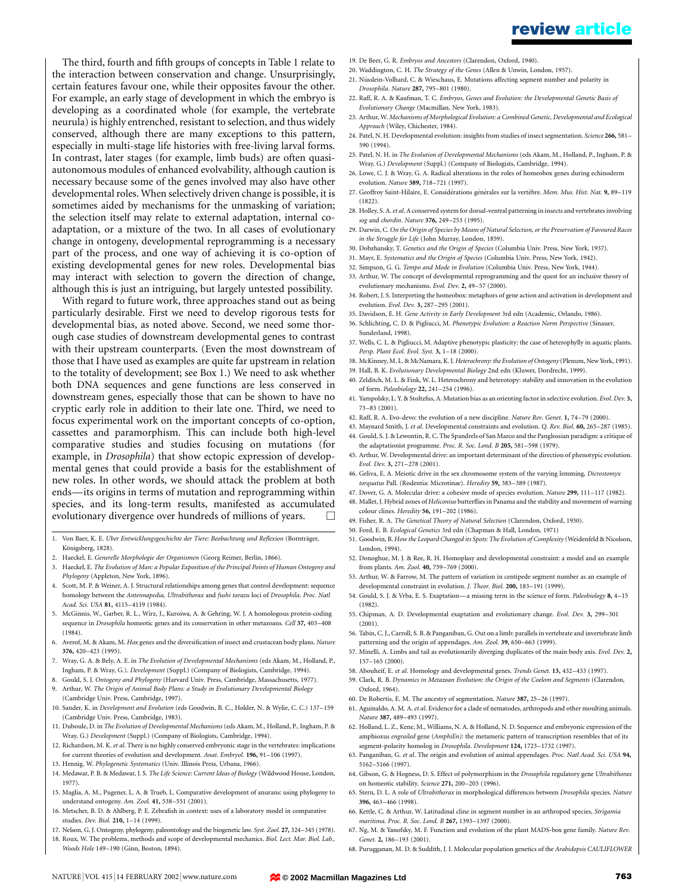The third, fourth and fifth groups of concepts in Table 1 relate to the interaction between conservation and change. Unsurprisingly, certain features favour one, while their opposites favour the other. For example, an early stage of development in which the embryo is developing as a coordinated whole (for example, the vertebrate neurula) is highly entrenched, resistant to selection, and thus widely conserved, although there are many exceptions to this pattern, especially in multi-stage life histories with free-living larval forms. In contrast, later stages (for example, limb buds) are often quasiautonomous modules of enhanced evolvability, although caution is necessary because some of the genes involved may also have other developmental roles. When selectively driven change is possible, it is sometimes aided by mechanisms for the unmasking of variation; the selection itself may relate to external adaptation, internal coadaptation, or a mixture of the two. In all cases of evolutionary change in ontogeny, developmental reprogramming is a necessary part of the process, and one way of achieving it is co-option of existing developmental genes for new roles. Developmental bias may interact with selection to govern the direction of change, although this is just an intriguing, but largely untested possibility.

With regard to future work, three approaches stand out as being particularly desirable. First we need to develop rigorous tests for developmental bias, as noted above. Second, we need some thorough case studies of downstream developmental genes to contrast with their upstream counterparts. (Even the most downstream of those that I have used as examples are quite far upstream in relation to the totality of development; see Box 1.) We need to ask whether both DNA sequences and gene functions are less conserved in downstream genes, especially those that can be shown to have no cryptic early role in addition to their late one. Third, we need to focus experimental work on the important concepts of co-option, cassettes and paramorphism. This can include both high-level comparative studies and studies focusing on mutations (for example, in Drosophila) that show ectopic expression of developmental genes that could provide a basis for the establishment of new roles. In other words, we should attack the problem at both ends—its origins in terms of mutation and reprogramming within species, and its long-term results, manifested as accumulated evolutionary divergence over hundreds of millions of years.

- 1. Von Baer, K. E. Uber Entwicklungsgeschichte der Tiere: Beobachtung und Reflexion (Bornträger, Königsberg, 1828).
- 2. Haeckel, E. Generelle Morphologie der Organismen (Georg Reimer, Berlin, 1866).
- 3. Haeckel, E. The Evolution of Man: a Popular Exposition of the Principal Points of Human Ontogeny and Phylogeny (Appleton, New York, 1896).
- 4. Scott, M. P. & Weiner, A. J. Structural relationships among genes that control development: sequence homology between the Antennapedia, Ultrabithorax and fushi tarazu loci of Drosophila. Proc. Natl Acad. Sci. USA 81, 4115-4119 (1984).
- 5. McGinnis, W., Garber, R. L., Wirz, J., Kuroiwa, A. & Gehring, W. J. A homologous protein-coding sequence in *Drosophila* homeotic genes and its conservation in other metazoans. Cell 37, 403-408 (1984).
- 6. Averof, M. & Akam, M. Hox genes and the diversification of insect and crustacean body plans. Nature  $376, 420-423$  (1995).
- 7. Wray, G. A. & Bely, A. E. in The Evolution of Developmental Mechanisms (eds Akam, M., Holland, P., Ingham, P. & Wray, G.). Development (Suppl.) (Company of Biologists, Cambridge, 1994).
- 8. Gould, S. J. Ontogeny and Phylogeny (Harvard Univ. Press, Cambridge, Massachusetts, 1977).
- 9. Arthur, W. The Origin of Animal Body Plans: a Study in Evolutionary Developmental Biology (Cambridge Univ. Press, Cambridge, 1997).
- 10. Sander, K. in Development and Evolution (eds Goodwin, B. C., Holder, N. & Wylie, C. C.) 137–159 (Cambridge Univ. Press, Cambridge, 1983).
- 11. Duboule, D. in The Evolution of Developmental Mechanisms (eds Akam, M., Holland, P., Ingham, P. & Wray, G.) Development (Suppl.) (Company of Biologists, Cambridge, 1994).
- 12. Richardson, M. K. et al. There is no highly conserved embryonic stage in the vertebrates: implications for current theories of evolution and development. Anat. Embryol.  $196, 91-106$  (1997).
- 13. Hennig, W. Phylogenetic Systematics (Univ. Illinois Press, Urbana, 1966).
- 14. Medawar, P. B. & Medawar, J. S. The Life Science: Current Ideas of Biology (Wildwood House, London, 1977).
- 15. Maglia, A. M., Pugener, L. A. & Trueb, L. Comparative development of anurans: using phylogeny to understand ontogeny. Am. Zool. 41, 538-551 (2001).
- 16. Metscher, B. D. & Ahlberg, P. E. Zebrafish in context: uses of a laboratory model in comparative studies. Dev. Biol. 210, 1-14 (1999).
- 17. Nelson, G. J. Ontogeny, phylogeny, paleontology and the biogenetic law. Syst. Zool. 27, 324-345 (1978).
- 18. Roux, W. The problems, methods and scope of developmental mechanics. Biol. Lect. Mar. Biol. Lab.,
- Woods Hole 149-190 (Ginn, Boston, 1894).
- 19. De Beer, G. R. Embryos and Ancestors (Clarendon, Oxford, 1940).
- 20. Waddington, C. H. The Strategy of the Genes (Allen & Unwin, London, 1957).
- 21. Nüsslein-Volhard, C. & Wieschaus, E. Mutations affecting segment number and polarity in Drosophila. Nature 287, 795-801 (1980).
- 22. Raff, R. A. & Kaufman, T. C. Embryos, Genes and Evolution: the Developmental Genetic Basis of Evolutionary Change (Macmillan, New York, 1983).
- 23. Arthur, W. Mechanisms of Morphological Evolution: a Combined Genetic, Developmental and Ecological Approach (Wiley, Chichester, 1984).
- 24. Patel, N. H. Developmental evolution: insights from studies of insect segmentation. Science 266, 581-590 (1994).
- 25. Patel, N. H. in The Evolution of Developmental Mechanisms (eds Akam, M., Holland, P., Ingham, P. & Wray, G.) Development (Suppl.) (Company of Biologists, Cambridge, 1994).
- 26. Lowe, C. J. & Wray, G. A. Radical alterations in the roles of homeobox genes during echinoderm evolution. Nature 389, 718-721 (1997).
- 27. Geoffroy Saint-Hilaire, E. Considérations générales sur la vertèbre. Mem. Mus. Hist. Nat. 9, 89-119 (1822).
- 28. Holley, S. A. et al. A conserved system for dorsal-ventral patterning in insects and vertebrates involving sog and chordin. Nature 376, 249-253 (1995).
- 29. Darwin, C. On the Origin of Species by Means of Natural Selection, or the Preservation of Favoured Races in the Struggle for Life (John Murray, London, 1859).
- 30. Dobzhansky, T. Genetics and the Origin of Species (Columbia Univ. Press, New York, 1937).
- 31. Mayr, E. Systematics and the Origin of Species (Columbia Univ. Press, New York, 1942).
- 32. Simpson, G. G. Tempo and Mode in Evolution (Columbia Univ. Press, New York, 1944).
- 33. Arthur, W. The concept of developmental reprogramming and the quest for an inclusive theory of evolutionary mechanisms. Evol. Dev. 2, 49-57 (2000).
- 34. Robert, J. S. Interpreting the homeobox: metaphors of gene action and activation in development and evolution. Evol. Dev. 3, 287-295 (2001).
- 35. Davidson, E. H. Gene Activity in Early Development 3rd edn (Academic, Orlando, 1986).
- 36. Schlichting, C. D. & Pigliucci, M. Phenotypic Evolution: a Reaction Norm Perspective (Sinauer, Sunderland, 1998).
- 37. Wells, C. L. & Pigliucci, M. Adaptive phenotypic plasticity: the case of heterophylly in aquatic plants. Persp. Plant Ecol. Evol. Syst. 3, 1-18 (2000).
- 38. McKinney, M. L. & McNamara, K. J. Heterochrony: the Evolution of Ontogeny (Plenum, New York, 1991).
- 39. Hall, B. K. Evolutionary Developmental Biology 2nd edn (Kluwer, Dordrecht, 1999). 40. Zelditch, M. L. & Fink, W. L. Heterochrony and heterotopy: stability and innovation in the evolution of form. Paleobiology 22, 241-254 (1996).
- 41. Yampolsky, L. Y. & Stoltzfus, A. Mutation bias as an orienting factor in selective evolution. Evol. Dev. 3, 73±83 (2001).
- 42. Raff, R. A. Evo-devo: the evolution of a new discipline. Nature Rev. Genet. 1, 74-79 (2000).
- 43. Maynard Smith, J. et al. Developmental constraints and evolution. O. Rev. Biol. 60, 265-287 (1985). 44. Gould, S. J. & Lewontin, R. C. The Spandrels of San Marco and the Panglossian paradigm: a critique of the adaptationist programme. Proc. R. Soc. Lond. B 205, 581-598 (1979).
- 45. Arthur, W. Developmental drive: an important determinant of the direction of phenotypic evolution. Evol. Dev. 3, 271-278 (2001).
- 46. Geliva, E. A. Meiotic drive in the sex chromosome system of the varying lemming, Dicrostomyx torquatus Pall. (Rodentia: Microtinae). Heredity 59, 383-389 (1987).
- 47. Dover, G. A. Molecular drive: a cohesive mode of species evolution. Nature 299, 111-117 (1982).
- 48. Mallet, J. Hybrid zones of *Heliconius* butterflies in Panama and the stability and movement of warning colour clines. Heredity 56, 191-202 (1986).
- 49. Fisher, R. A. The Genetical Theory of Natural Selection (Clarendon, Oxford, 1930).
- 50. Ford, E. B. Ecological Genetics 3rd edn (Chapman & Hall, London, 1971)
- 51. Goodwin, B. How the Leopard Changed its Spots: The Evolution of Complexity (Weidenfeld & Nicolson, London, 1994).
- 52. Donoghue, M. J. & Ree, R. H. Homoplasy and developmental constraint: a model and an example from plants. Am. Zool. 40, 759-769 (2000).
- 53. Arthur, W. & Farrow, M. The pattern of variation in centipede segment number as an example of developmental constraint in evolution. J. Theor. Biol. 200, 183-191 (1999).
- 54. Gould, S. J. & Vrba, E. S. Exaptation—a missing term in the science of form. Paleobiology 8, 4-15 (1982).
- 55. Chipman, A. D. Developmental exaptation and evolutionary change. Evol. Dev. 3, 299-301 (2001).
- 56. Tabin, C. J., Carroll, S. B. & Panganiban, G. Out on a limb: parallels in vertebrate and invertebrate limb patterning and the origin of appendages. Am. Zool. 39, 650-663 (1999).
- 57. Minelli, A. Limbs and tail as evolutionarily diverging duplicates of the main body axis. Evol. Dev. 2, 157±165 (2000).
- 58. Abouheif, E. et al. Homology and developmental genes. Trends Genet. 13, 432-433 (1997).
- 59. Clark, R. B. Dynamics in Metazoan Evolution: the Origin of the Coelom and Segments (Clarendon, Oxford, 1964).
- 60. De Robertis, E. M. The ancestry of segmentation. Nature 387, 25-26 (1997).
- 61. Aguinaldo, A. M. A. et al. Evidence for a clade of nematodes, arthropods and other moulting animals. Nature 387, 489-493 (1997).
- 62. Holland, L. Z., Kene, M., Williams, N. A. & Holland, N. D. Sequence and embryonic expression of the amphioxus engrailed gene (AmphiEn): the metameric pattern of transcription resembles that of its segment-polarity homolog in Drosophila. Development 124, 1723-1732 (1997).
- 63. Panganiban, G. et al. The origin and evolution of animal appendages. Proc. Natl Acad. Sci. USA 94, 5162±5166 (1997).
- 64. Gibson, G. & Hogness, D. S. Effect of polymorphism in the Drosophila regulatory gene Ultrabithorax on homeotic stability. Science 271, 200-203 (1996).
- 65. Stern, D. L. A role of Ultrabithorax in morphological differences between Drosophila species. Nature 396, 463±466 (1998).
- 66. Kettle, C. & Arthur, W. Latitudinal cline in segment number in an arthropod species, Strigamia maritima. Proc. R. Soc. Lond. B 267, 1393-1397 (2000).
- 67. Ng, M. & Yanofsky, M. F. Function and evolution of the plant MADS-box gene family. Nature Rev. Genet. 2, 186-193 (2001).
- 68. Purugganan, M. D. & Suddith, J. I. Molecular population genetics of the Arabidopsis CAULIFLOWER